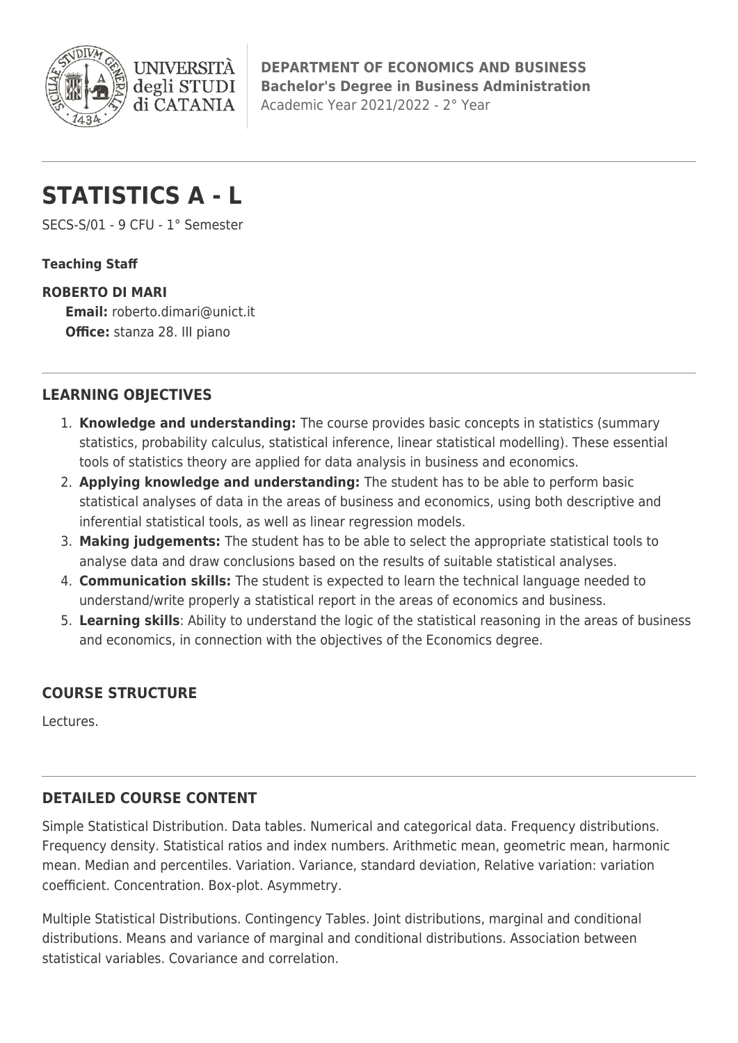

**DEPARTMENT OF ECONOMICS AND BUSINESS Bachelor's Degree in Business Administration** Academic Year 2021/2022 - 2° Year

# **STATISTICS A - L**

**I INIVERSIT** 

di CATANIA

SECS-S/01 - 9 CFU - 1° Semester

#### **Teaching Staff**

#### **ROBERTO DI MARI**

**Email:** [roberto.dimari@unict.it](mailto:roberto.dimari@unict.it) **Office:** stanza 28. III piano

# **LEARNING OBJECTIVES**

- 1. **Knowledge and understanding:** The course provides basic concepts in statistics (summary statistics, probability calculus, statistical inference, linear statistical modelling). These essential tools of statistics theory are applied for data analysis in business and economics.
- 2. **Applying knowledge and understanding:** The student has to be able to perform basic statistical analyses of data in the areas of business and economics, using both descriptive and inferential statistical tools, as well as linear regression models.
- 3. **Making judgements:** The student has to be able to select the appropriate statistical tools to analyse data and draw conclusions based on the results of suitable statistical analyses.
- 4. **Communication skills:** The student is expected to learn the technical language needed to understand/write properly a statistical report in the areas of economics and business.
- 5. **Learning skills**: Ability to understand the logic of the statistical reasoning in the areas of business and economics, in connection with the objectives of the Economics degree.

# **COURSE STRUCTURE**

Lectures.

### **DETAILED COURSE CONTENT**

Simple Statistical Distribution. Data tables. Numerical and categorical data. Frequency distributions. Frequency density. Statistical ratios and index numbers. Arithmetic mean, geometric mean, harmonic mean. Median and percentiles. Variation. Variance, standard deviation, Relative variation: variation coefficient. Concentration. Box-plot. Asymmetry.

Multiple Statistical Distributions. Contingency Tables. Joint distributions, marginal and conditional distributions. Means and variance of marginal and conditional distributions. Association between statistical variables. Covariance and correlation.